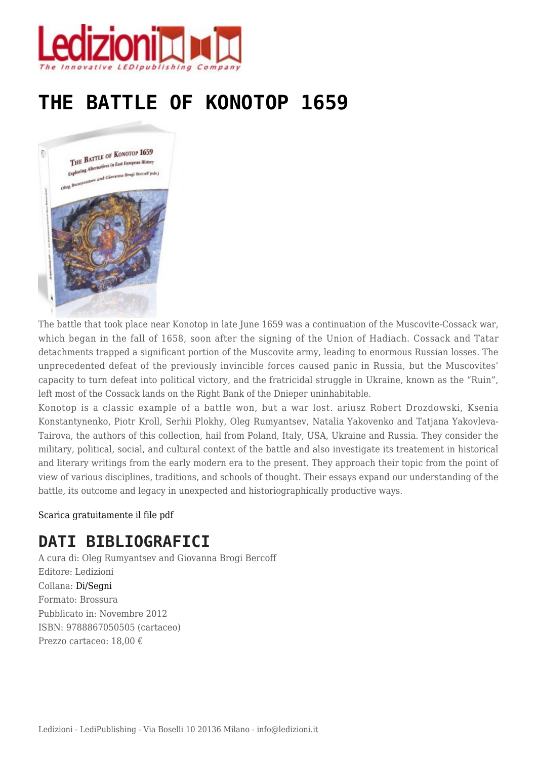

## **[THE BATTLE OF KONOTOP 1659](https://www.ledizioni.it/prodotto/rumyantsev-and-brogi-bercoff-the-battle-of-konotop-1659/)**



The battle that took place near Konotop in late June 1659 was a continuation of the Muscovite-Cossack war, which began in the fall of 1658, soon after the signing of the Union of Hadiach. Cossack and Tatar detachments trapped a significant portion of the Muscovite army, leading to enormous Russian losses. The unprecedented defeat of the previously invincible forces caused panic in Russia, but the Muscovites' capacity to turn defeat into political victory, and the fratricidal struggle in Ukraine, known as the "Ruin", left most of the Cossack lands on the Right Bank of the Dnieper uninhabitable.

Konotop is a classic example of a battle won, but a war lost. ariusz Robert Drozdowski, Ksenia Konstantynenko, Piotr Kroll, Serhii Plokhy, Oleg Rumyantsev, Natalia Yakovenko and Tatjana Yakovleva-Tairova, the authors of this collection, hail from Poland, Italy, USA, Ukraine and Russia. They consider the military, political, social, and cultural context of the battle and also investigate its treatement in historical and literary writings from the early modern era to the present. They approach their topic from the point of view of various disciplines, traditions, and schools of thought. Their essays expand our understanding of the battle, its outcome and legacy in unexpected and historiographically productive ways.

[Scarica gratuitamente il file pdf](http://www.ledizioni.it/sito/wp-content/uploads/2012/11/Brogi_web.pdf)

## **DATI BIBLIOGRAFICI**

A cura di: Oleg Rumyantsev and Giovanna Brogi Bercoff Editore: Ledizioni Collana: [Di/Segni](https://www.ledizioni.it/collane/letteratura/disegni/) Formato: Brossura Pubblicato in: Novembre 2012 ISBN: 9788867050505 (cartaceo) Prezzo cartaceo: 18,00 €